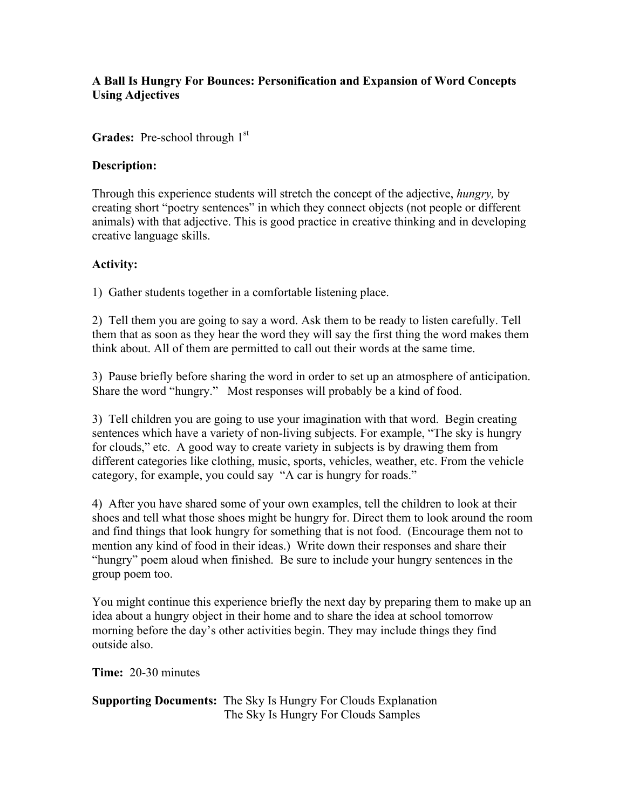## **A Ball Is Hungry For Bounces: Personification and Expansion of Word Concepts Using Adjectives**

Grades: Pre-school through 1<sup>st</sup>

## **Description:**

Through this experience students will stretch the concept of the adjective, *hungry,* by creating short "poetry sentences" in which they connect objects (not people or different animals) with that adjective. This is good practice in creative thinking and in developing creative language skills.

## **Activity:**

1) Gather students together in a comfortable listening place.

2) Tell them you are going to say a word. Ask them to be ready to listen carefully. Tell them that as soon as they hear the word they will say the first thing the word makes them think about. All of them are permitted to call out their words at the same time.

3) Pause briefly before sharing the word in order to set up an atmosphere of anticipation. Share the word "hungry." Most responses will probably be a kind of food.

3) Tell children you are going to use your imagination with that word. Begin creating sentences which have a variety of non-living subjects. For example, "The sky is hungry for clouds," etc. A good way to create variety in subjects is by drawing them from different categories like clothing, music, sports, vehicles, weather, etc. From the vehicle category, for example, you could say "A car is hungry for roads."

4) After you have shared some of your own examples, tell the children to look at their shoes and tell what those shoes might be hungry for. Direct them to look around the room and find things that look hungry for something that is not food. (Encourage them not to mention any kind of food in their ideas.) Write down their responses and share their "hungry" poem aloud when finished. Be sure to include your hungry sentences in the group poem too.

You might continue this experience briefly the next day by preparing them to make up an idea about a hungry object in their home and to share the idea at school tomorrow morning before the day's other activities begin. They may include things they find outside also.

**Time:** 20-30 minutes

**Supporting Documents:** The Sky Is Hungry For Clouds Explanation The Sky Is Hungry For Clouds Samples